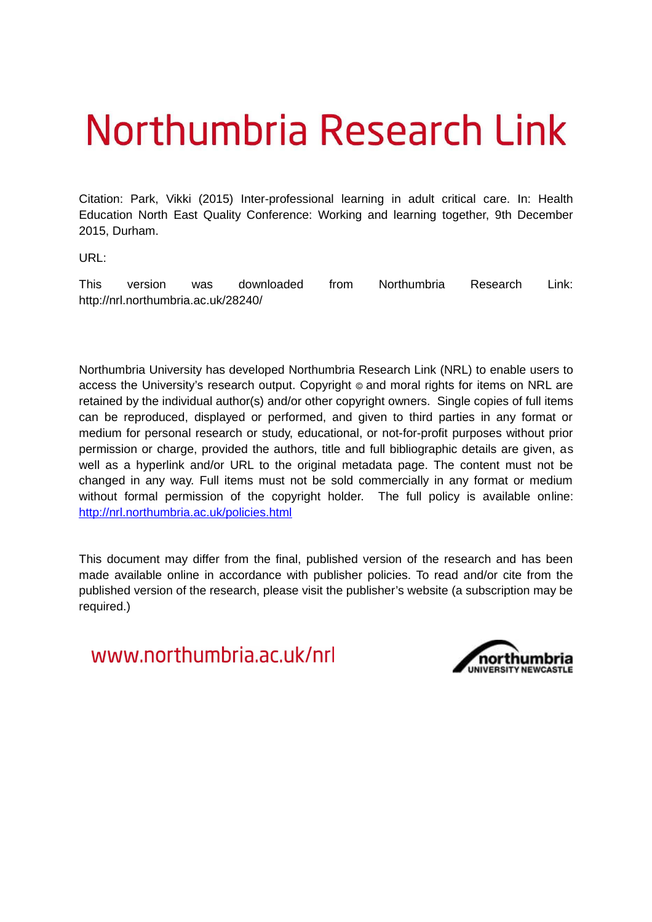# Northumbria Research Link

Citation: Park, Vikki (2015) Inter-professional learning in adult critical care. In: Health Education North East Quality Conference: Working and learning together, 9th December 2015, Durham.

URL:

This version was downloaded from Northumbria Research Link: http://nrl.northumbria.ac.uk/28240/

Northumbria University has developed Northumbria Research Link (NRL) to enable users to access the University's research output. Copyright  $\circ$  and moral rights for items on NRL are retained by the individual author(s) and/or other copyright owners. Single copies of full items can be reproduced, displayed or performed, and given to third parties in any format or medium for personal research or study, educational, or not-for-profit purposes without prior permission or charge, provided the authors, title and full bibliographic details are given, as well as a hyperlink and/or URL to the original metadata page. The content must not be changed in any way. Full items must not be sold commercially in any format or medium without formal permission of the copyright holder. The full policy is available online: <http://nrl.northumbria.ac.uk/policies.html>

This document may differ from the final, published version of the research and has been made available online in accordance with publisher policies. To read and/or cite from the published version of the research, please visit the publisher's website (a subscription may be required.)

www.northumbria.ac.uk/nrl